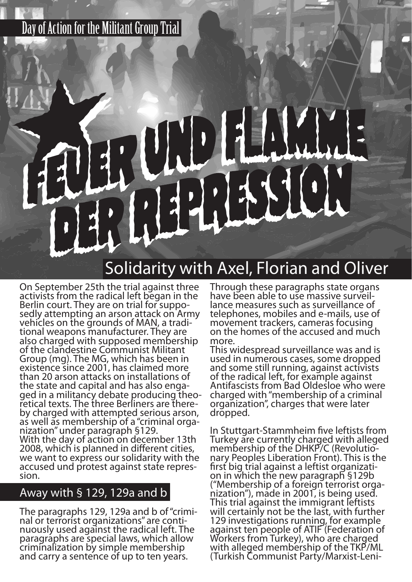## Day of Action for the Militant Group Trial

# $\vert \cdot \vert$

# Solidarity with Axel, Florian and Oliver

On September 25th the trial against three activists from the radical left began in the Berlin court. They are on trial for supposedly attempting an arson attack on Army vehicles on the grounds of MAN, a traditional weapons manufacturer. They are also charged with supposed membership of the clandestine Communist Militant Group (mg). The MG, which has been in existence since 2001, has claimed more than 20 arson attacks on installations of the state and capital and has also engaged in a militancy debate producing theoretical texts. The three Berliners are thereby charged with attempted serious arson, as well as membership of a "criminal organization" under paragraph §129. With the day of action on december 13th 2008, which is planned in different cities, we want to express our solidarity with the accused und protest against state repression.

### Away with § 129, 129a and b

The paragraphs 129, 129a and b of "criminal or terrorist organizations" are continuously used against the radical left. The paragraphs are special laws, which allow criminalization by simple membership and carry a sentence of up to ten years.

Through these paragraphs state organs have been able to use massive surveillance measures such as surveillance of telephones, mobiles and e-mails, use of movement trackers, cameras focusing on the homes of the accused and much more.

This widespread surveillance was and is used in numerous cases, some dropped and some still running, against activists of the radical left, for example against Antifascists from Bad Oldesloe who were charged with "membership of a criminal organization", charges that were later dropped.

In Stuttgart-Stammheim five leftists from Turkey are currently charged with alleged membership of the DHKP/C (Revolutionary Peoples Liberation Front). This is the first big trial against a leftist organization in which the new paragraph §129b ("Membership of a foreign terrorist organization"), made in 2001, is being used. This trial against the immigrant leftists will certainly not be the last, with further 129 investigations running, for example against ten people of ATIF (Federation of Workers from Turkey), who are charged with alleged membership of the TKP/ML (Turkish Communist Party/Marxist-Leni